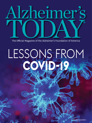

The Official Magazine of the Alzheimer's Foundation of America

## LESSONS FROM **COVID-19**